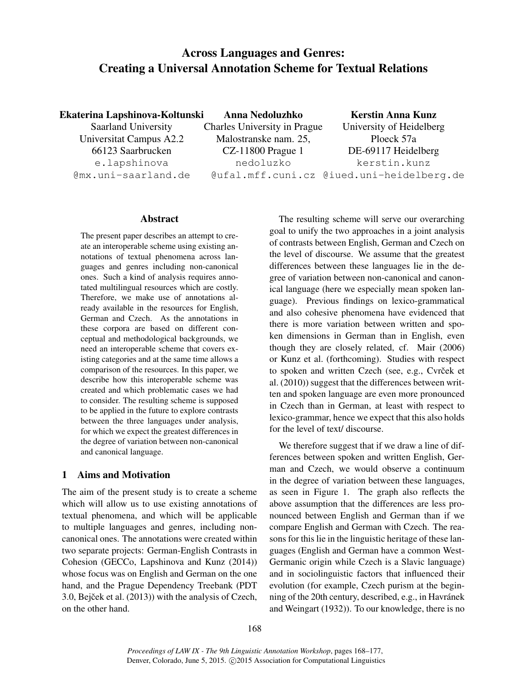# Across Languages and Genres: Creating a Universal Annotation Scheme for Textual Relations

Ekaterina Lapshinova-Koltunski

Saarland University Universitat Campus A2.2 66123 Saarbrucken e.lapshinova @mx.uni-saarland.de

Anna Nedoluzhko Charles University in Prague Malostranske nam. 25, CZ-11800 Prague 1 nedoluzko

Kerstin Anna Kunz University of Heidelberg Ploeck 57a DE-69117 Heidelberg kerstin.kunz

@ufal.mff.cuni.cz @iued.uni-heidelberg.de

#### Abstract

The present paper describes an attempt to create an interoperable scheme using existing annotations of textual phenomena across languages and genres including non-canonical ones. Such a kind of analysis requires annotated multilingual resources which are costly. Therefore, we make use of annotations already available in the resources for English, German and Czech. As the annotations in these corpora are based on different conceptual and methodological backgrounds, we need an interoperable scheme that covers existing categories and at the same time allows a comparison of the resources. In this paper, we describe how this interoperable scheme was created and which problematic cases we had to consider. The resulting scheme is supposed to be applied in the future to explore contrasts between the three languages under analysis, for which we expect the greatest differences in the degree of variation between non-canonical and canonical language.

## 1 Aims and Motivation

The aim of the present study is to create a scheme which will allow us to use existing annotations of textual phenomena, and which will be applicable to multiple languages and genres, including noncanonical ones. The annotations were created within two separate projects: German-English Contrasts in Cohesion (GECCo, Lapshinova and Kunz (2014)) whose focus was on English and German on the one hand, and the Prague Dependency Treebank (PDT 3.0, Bejček et al.  $(2013)$ ) with the analysis of Czech, on the other hand.

The resulting scheme will serve our overarching goal to unify the two approaches in a joint analysis of contrasts between English, German and Czech on the level of discourse. We assume that the greatest differences between these languages lie in the degree of variation between non-canonical and canonical language (here we especially mean spoken language). Previous findings on lexico-grammatical and also cohesive phenomena have evidenced that there is more variation between written and spoken dimensions in German than in English, even though they are closely related, cf. Mair (2006) or Kunz et al. (forthcoming). Studies with respect to spoken and written Czech (see, e.g., Cvrček et al. (2010)) suggest that the differences between written and spoken language are even more pronounced in Czech than in German, at least with respect to lexico-grammar, hence we expect that this also holds for the level of text/ discourse.

We therefore suggest that if we draw a line of differences between spoken and written English, German and Czech, we would observe a continuum in the degree of variation between these languages, as seen in Figure 1. The graph also reflects the above assumption that the differences are less pronounced between English and German than if we compare English and German with Czech. The reasons for this lie in the linguistic heritage of these languages (English and German have a common West-Germanic origin while Czech is a Slavic language) and in sociolinguistic factors that influenced their evolution (for example, Czech purism at the beginning of the 20th century, described, e.g., in Havránek and Weingart (1932)). To our knowledge, there is no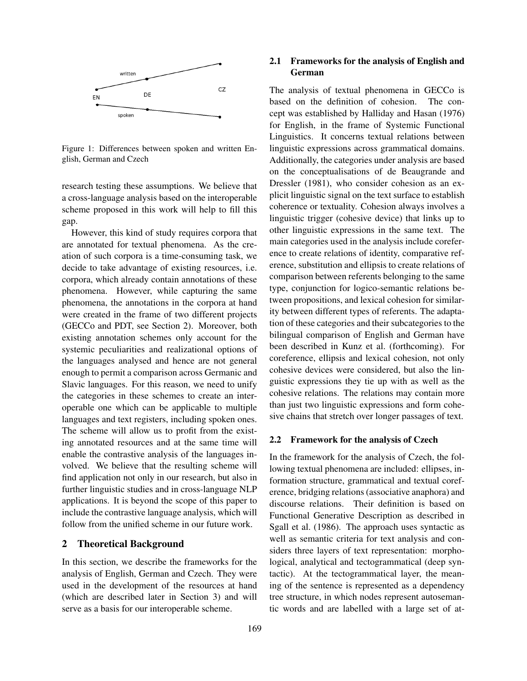

Figure 1: Differences between spoken and written English, German and Czech

research testing these assumptions. We believe that a cross-language analysis based on the interoperable scheme proposed in this work will help to fill this gap.

However, this kind of study requires corpora that are annotated for textual phenomena. As the creation of such corpora is a time-consuming task, we decide to take advantage of existing resources, i.e. corpora, which already contain annotations of these phenomena. However, while capturing the same phenomena, the annotations in the corpora at hand were created in the frame of two different projects (GECCo and PDT, see Section 2). Moreover, both existing annotation schemes only account for the systemic peculiarities and realizational options of the languages analysed and hence are not general enough to permit a comparison across Germanic and Slavic languages. For this reason, we need to unify the categories in these schemes to create an interoperable one which can be applicable to multiple languages and text registers, including spoken ones. The scheme will allow us to profit from the existing annotated resources and at the same time will enable the contrastive analysis of the languages involved. We believe that the resulting scheme will find application not only in our research, but also in further linguistic studies and in cross-language NLP applications. It is beyond the scope of this paper to include the contrastive language analysis, which will follow from the unified scheme in our future work.

#### 2 Theoretical Background

In this section, we describe the frameworks for the analysis of English, German and Czech. They were used in the development of the resources at hand (which are described later in Section 3) and will serve as a basis for our interoperable scheme.

#### 2.1 Frameworks for the analysis of English and German

The analysis of textual phenomena in GECCo is based on the definition of cohesion. The concept was established by Halliday and Hasan (1976) for English, in the frame of Systemic Functional Linguistics. It concerns textual relations between linguistic expressions across grammatical domains. Additionally, the categories under analysis are based on the conceptualisations of de Beaugrande and Dressler (1981), who consider cohesion as an explicit linguistic signal on the text surface to establish coherence or textuality. Cohesion always involves a linguistic trigger (cohesive device) that links up to other linguistic expressions in the same text. The main categories used in the analysis include coreference to create relations of identity, comparative reference, substitution and ellipsis to create relations of comparison between referents belonging to the same type, conjunction for logico-semantic relations between propositions, and lexical cohesion for similarity between different types of referents. The adaptation of these categories and their subcategories to the bilingual comparison of English and German have been described in Kunz et al. (forthcoming). For coreference, ellipsis and lexical cohesion, not only cohesive devices were considered, but also the linguistic expressions they tie up with as well as the cohesive relations. The relations may contain more than just two linguistic expressions and form cohesive chains that stretch over longer passages of text.

#### 2.2 Framework for the analysis of Czech

In the framework for the analysis of Czech, the following textual phenomena are included: ellipses, information structure, grammatical and textual coreference, bridging relations (associative anaphora) and discourse relations. Their definition is based on Functional Generative Description as described in Sgall et al. (1986). The approach uses syntactic as well as semantic criteria for text analysis and considers three layers of text representation: morphological, analytical and tectogrammatical (deep syntactic). At the tectogrammatical layer, the meaning of the sentence is represented as a dependency tree structure, in which nodes represent autosemantic words and are labelled with a large set of at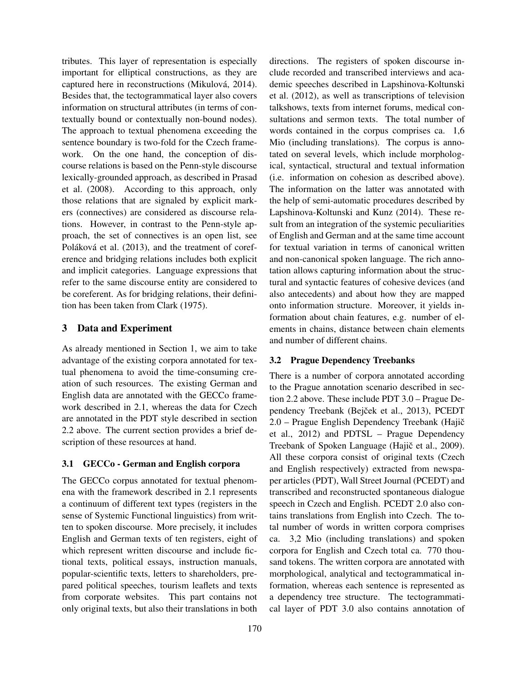tributes. This layer of representation is especially important for elliptical constructions, as they are captured here in reconstructions (Mikulová, 2014). Besides that, the tectogrammatical layer also covers information on structural attributes (in terms of contextually bound or contextually non-bound nodes). The approach to textual phenomena exceeding the sentence boundary is two-fold for the Czech framework. On the one hand, the conception of discourse relations is based on the Penn-style discourse lexically-grounded approach, as described in Prasad et al. (2008). According to this approach, only those relations that are signaled by explicit markers (connectives) are considered as discourse relations. However, in contrast to the Penn-style approach, the set of connectives is an open list, see Poláková et al. (2013), and the treatment of coreference and bridging relations includes both explicit and implicit categories. Language expressions that refer to the same discourse entity are considered to be coreferent. As for bridging relations, their definition has been taken from Clark (1975).

## 3 Data and Experiment

As already mentioned in Section 1, we aim to take advantage of the existing corpora annotated for textual phenomena to avoid the time-consuming creation of such resources. The existing German and English data are annotated with the GECCo framework described in 2.1, whereas the data for Czech are annotated in the PDT style described in section 2.2 above. The current section provides a brief description of these resources at hand.

### 3.1 GECCo - German and English corpora

The GECCo corpus annotated for textual phenomena with the framework described in 2.1 represents a continuum of different text types (registers in the sense of Systemic Functional linguistics) from written to spoken discourse. More precisely, it includes English and German texts of ten registers, eight of which represent written discourse and include fictional texts, political essays, instruction manuals, popular-scientific texts, letters to shareholders, prepared political speeches, tourism leaflets and texts from corporate websites. This part contains not only original texts, but also their translations in both directions. The registers of spoken discourse include recorded and transcribed interviews and academic speeches described in Lapshinova-Koltunski et al. (2012), as well as transcriptions of television talkshows, texts from internet forums, medical consultations and sermon texts. The total number of words contained in the corpus comprises ca. 1,6 Mio (including translations). The corpus is annotated on several levels, which include morphological, syntactical, structural and textual information (i.e. information on cohesion as described above). The information on the latter was annotated with the help of semi-automatic procedures described by Lapshinova-Koltunski and Kunz (2014). These result from an integration of the systemic peculiarities of English and German and at the same time account for textual variation in terms of canonical written and non-canonical spoken language. The rich annotation allows capturing information about the structural and syntactic features of cohesive devices (and also antecedents) and about how they are mapped onto information structure. Moreover, it yields information about chain features, e.g. number of elements in chains, distance between chain elements and number of different chains.

### 3.2 Prague Dependency Treebanks

There is a number of corpora annotated according to the Prague annotation scenario described in section 2.2 above. These include PDT 3.0 – Prague Dependency Treebank (Bejček et al., 2013), PCEDT 2.0 – Prague English Dependency Treebank (Hajič et al., 2012) and PDTSL – Prague Dependency Treebank of Spoken Language (Hajič et al., 2009). All these corpora consist of original texts (Czech and English respectively) extracted from newspaper articles (PDT), Wall Street Journal (PCEDT) and transcribed and reconstructed spontaneous dialogue speech in Czech and English. PCEDT 2.0 also contains translations from English into Czech. The total number of words in written corpora comprises ca. 3,2 Mio (including translations) and spoken corpora for English and Czech total ca. 770 thousand tokens. The written corpora are annotated with morphological, analytical and tectogrammatical information, whereas each sentence is represented as a dependency tree structure. The tectogrammatical layer of PDT 3.0 also contains annotation of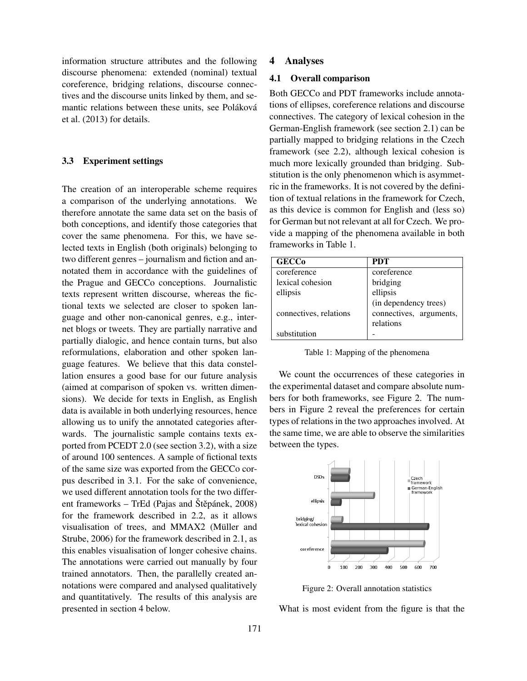information structure attributes and the following discourse phenomena: extended (nominal) textual coreference, bridging relations, discourse connectives and the discourse units linked by them, and semantic relations between these units, see Poláková et al. (2013) for details.

#### 3.3 Experiment settings

The creation of an interoperable scheme requires a comparison of the underlying annotations. We therefore annotate the same data set on the basis of both conceptions, and identify those categories that cover the same phenomena. For this, we have selected texts in English (both originals) belonging to two different genres – journalism and fiction and annotated them in accordance with the guidelines of the Prague and GECCo conceptions. Journalistic texts represent written discourse, whereas the fictional texts we selected are closer to spoken language and other non-canonical genres, e.g., internet blogs or tweets. They are partially narrative and partially dialogic, and hence contain turns, but also reformulations, elaboration and other spoken language features. We believe that this data constellation ensures a good base for our future analysis (aimed at comparison of spoken vs. written dimensions). We decide for texts in English, as English data is available in both underlying resources, hence allowing us to unify the annotated categories afterwards. The journalistic sample contains texts exported from PCEDT 2.0 (see section 3.2), with a size of around 100 sentences. A sample of fictional texts of the same size was exported from the GECCo corpus described in 3.1. For the sake of convenience, we used different annotation tools for the two different frameworks – TrEd (Pajas and Štěpánek, 2008) for the framework described in 2.2, as it allows visualisation of trees, and MMAX2 (Müller and Strube, 2006) for the framework described in 2.1, as this enables visualisation of longer cohesive chains. The annotations were carried out manually by four trained annotators. Then, the parallelly created annotations were compared and analysed qualitatively and quantitatively. The results of this analysis are presented in section 4 below.

#### 4 Analyses

#### 4.1 Overall comparison

Both GECCo and PDT frameworks include annotations of ellipses, coreference relations and discourse connectives. The category of lexical cohesion in the German-English framework (see section 2.1) can be partially mapped to bridging relations in the Czech framework (see 2.2), although lexical cohesion is much more lexically grounded than bridging. Substitution is the only phenomenon which is asymmetric in the frameworks. It is not covered by the definition of textual relations in the framework for Czech, as this device is common for English and (less so) for German but not relevant at all for Czech. We provide a mapping of the phenomena available in both frameworks in Table 1.

| <b>GECCo</b>           | <b>PDT</b>              |
|------------------------|-------------------------|
| coreference            | coreference             |
| lexical cohesion       | bridging                |
| ellipsis               | ellipsis                |
|                        | (in dependency trees)   |
| connectives, relations | connectives, arguments, |
|                        | relations               |
| substitution           |                         |

Table 1: Mapping of the phenomena

We count the occurrences of these categories in the experimental dataset and compare absolute numbers for both frameworks, see Figure 2. The numbers in Figure 2 reveal the preferences for certain types of relations in the two approaches involved. At the same time, we are able to observe the similarities between the types.



Figure 2: Overall annotation statistics

What is most evident from the figure is that the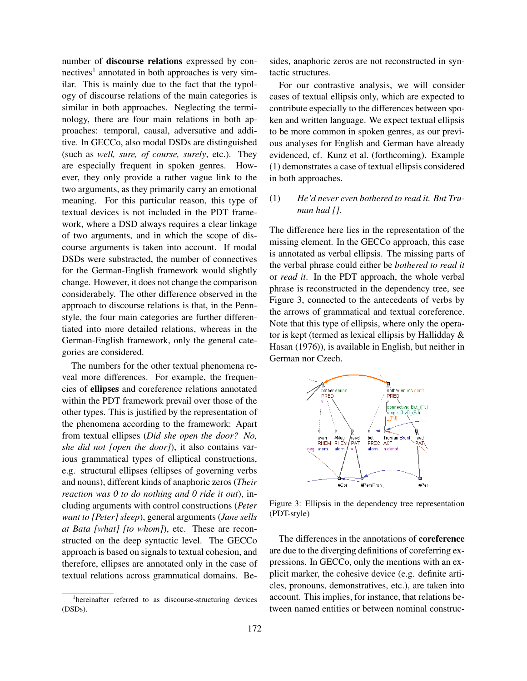number of discourse relations expressed by connectives<sup>1</sup> annotated in both approaches is very similar. This is mainly due to the fact that the typology of discourse relations of the main categories is similar in both approaches. Neglecting the terminology, there are four main relations in both approaches: temporal, causal, adversative and additive. In GECCo, also modal DSDs are distinguished (such as *well, sure, of course, surely*, etc.). They are especially frequent in spoken genres. However, they only provide a rather vague link to the two arguments, as they primarily carry an emotional meaning. For this particular reason, this type of textual devices is not included in the PDT framework, where a DSD always requires a clear linkage of two arguments, and in which the scope of discourse arguments is taken into account. If modal DSDs were substracted, the number of connectives for the German-English framework would slightly change. However, it does not change the comparison considerabely. The other difference observed in the approach to discourse relations is that, in the Pennstyle, the four main categories are further differentiated into more detailed relations, whereas in the German-English framework, only the general categories are considered.

The numbers for the other textual phenomena reveal more differences. For example, the frequencies of ellipses and coreference relations annotated within the PDT framework prevail over those of the other types. This is justified by the representation of the phenomena according to the framework: Apart from textual ellipses (*Did she open the door? No, she did not [open the door]*), it also contains various grammatical types of elliptical constructions, e.g. structural ellipses (ellipses of governing verbs and nouns), different kinds of anaphoric zeros (*Their reaction was 0 to do nothing and 0 ride it out*), including arguments with control constructions (*Peter want to [Peter] sleep*), general arguments (*Jane sells at Bata [what] [to whom]*), etc. These are reconstructed on the deep syntactic level. The GECCo approach is based on signals to textual cohesion, and therefore, ellipses are annotated only in the case of textual relations across grammatical domains. Be-

<sup>1</sup>hereinafter referred to as discourse-structuring devices (DSDs).

sides, anaphoric zeros are not reconstructed in syntactic structures.

For our contrastive analysis, we will consider cases of textual ellipsis only, which are expected to contribute especially to the differences between spoken and written language. We expect textual ellipsis to be more common in spoken genres, as our previous analyses for English and German have already evidenced, cf. Kunz et al. (forthcoming). Example (1) demonstrates a case of textual ellipsis considered in both approaches.

## (1) *He'd never even bothered to read it. But Truman had [].*

The difference here lies in the representation of the missing element. In the GECCo approach, this case is annotated as verbal ellipsis. The missing parts of the verbal phrase could either be *bothered to read it* or *read it*. In the PDT approach, the whole verbal phrase is reconstructed in the dependency tree, see Figure 3, connected to the antecedents of verbs by the arrows of grammatical and textual coreference. Note that this type of ellipsis, where only the operator is kept (termed as lexical ellipsis by Hallidday & Hasan (1976)), is available in English, but neither in German nor Czech.



Figure 3: Ellipsis in the dependency tree representation (PDT-style)

The differences in the annotations of **coreference** are due to the diverging definitions of coreferring expressions. In GECCo, only the mentions with an explicit marker, the cohesive device (e.g. definite articles, pronouns, demonstratives, etc.), are taken into account. This implies, for instance, that relations between named entities or between nominal construc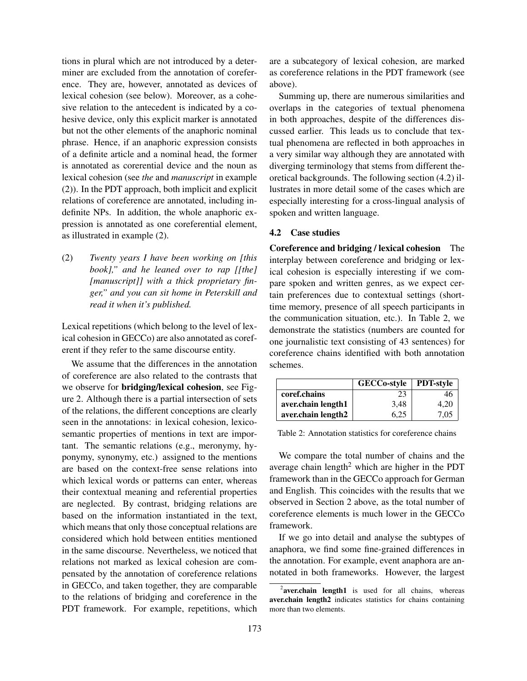tions in plural which are not introduced by a determiner are excluded from the annotation of coreference. They are, however, annotated as devices of lexical cohesion (see below). Moreover, as a cohesive relation to the antecedent is indicated by a cohesive device, only this explicit marker is annotated but not the other elements of the anaphoric nominal phrase. Hence, if an anaphoric expression consists of a definite article and a nominal head, the former is annotated as corerential device and the noun as lexical cohesion (see *the* and *manuscript* in example (2)). In the PDT approach, both implicit and explicit relations of coreference are annotated, including indefinite NPs. In addition, the whole anaphoric expression is annotated as one coreferential element, as illustrated in example (2).

(2) *Twenty years I have been working on [this book]," and he leaned over to rap [[the] [manuscript]] with a thick proprietary finger," and you can sit home in Peterskill and read it when it's published.*

Lexical repetitions (which belong to the level of lexical cohesion in GECCo) are also annotated as coreferent if they refer to the same discourse entity.

We assume that the differences in the annotation of coreference are also related to the contrasts that we observe for bridging/lexical cohesion, see Figure 2. Although there is a partial intersection of sets of the relations, the different conceptions are clearly seen in the annotations: in lexical cohesion, lexicosemantic properties of mentions in text are important. The semantic relations (e.g., meronymy, hyponymy, synonymy, etc.) assigned to the mentions are based on the context-free sense relations into which lexical words or patterns can enter, whereas their contextual meaning and referential properties are neglected. By contrast, bridging relations are based on the information instantiated in the text, which means that only those conceptual relations are considered which hold between entities mentioned in the same discourse. Nevertheless, we noticed that relations not marked as lexical cohesion are compensated by the annotation of coreference relations in GECCo, and taken together, they are comparable to the relations of bridging and coreference in the PDT framework. For example, repetitions, which are a subcategory of lexical cohesion, are marked as coreference relations in the PDT framework (see above).

Summing up, there are numerous similarities and overlaps in the categories of textual phenomena in both approaches, despite of the differences discussed earlier. This leads us to conclude that textual phenomena are reflected in both approaches in a very similar way although they are annotated with diverging terminology that stems from different theoretical backgrounds. The following section (4.2) illustrates in more detail some of the cases which are especially interesting for a cross-lingual analysis of spoken and written language.

#### 4.2 Case studies

Coreference and bridging / lexical cohesion The interplay between coreference and bridging or lexical cohesion is especially interesting if we compare spoken and written genres, as we expect certain preferences due to contextual settings (shorttime memory, presence of all speech participants in the communication situation, etc.). In Table 2, we demonstrate the statistics (numbers are counted for one journalistic text consisting of 43 sentences) for coreference chains identified with both annotation schemes.

|                    | <b>GECCo-style</b> | <b>PDT-style</b> |
|--------------------|--------------------|------------------|
| coref.chains       | 23                 | 46               |
| aver.chain length1 | 3.48               | 4.20             |
| aver.chain length2 | 6.25               | 7,05             |

Table 2: Annotation statistics for coreference chains

We compare the total number of chains and the average chain length<sup>2</sup> which are higher in the PDT framework than in the GECCo approach for German and English. This coincides with the results that we observed in Section 2 above, as the total number of coreference elements is much lower in the GECCo framework.

If we go into detail and analyse the subtypes of anaphora, we find some fine-grained differences in the annotation. For example, event anaphora are annotated in both frameworks. However, the largest

<sup>&</sup>lt;sup>2</sup>aver.chain length1 is used for all chains, whereas aver.chain length2 indicates statistics for chains containing more than two elements.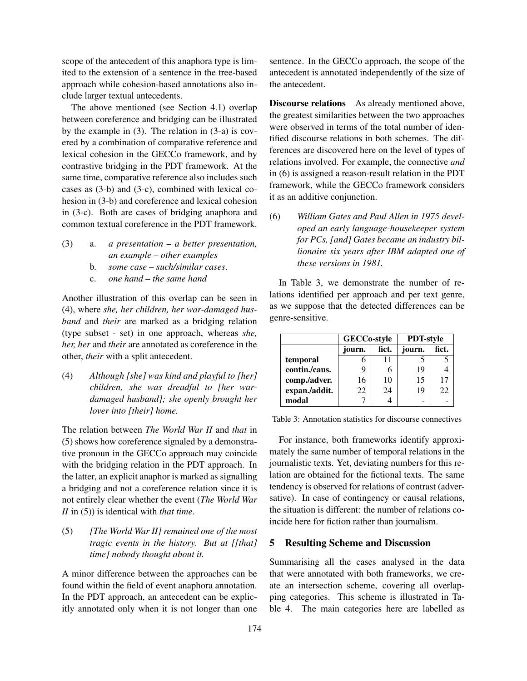scope of the antecedent of this anaphora type is limited to the extension of a sentence in the tree-based approach while cohesion-based annotations also include larger textual antecedents.

The above mentioned (see Section 4.1) overlap between coreference and bridging can be illustrated by the example in (3). The relation in (3-a) is covered by a combination of comparative reference and lexical cohesion in the GECCo framework, and by contrastive bridging in the PDT framework. At the same time, comparative reference also includes such cases as (3-b) and (3-c), combined with lexical cohesion in (3-b) and coreference and lexical cohesion in (3-c). Both are cases of bridging anaphora and common textual coreference in the PDT framework.

- (3) a. *a presentation a better presentation, an example – other examples*
	- b. *some case such/similar cases*.
	- c. *one hand the same hand*

Another illustration of this overlap can be seen in (4), where *she, her children, her war-damaged husband* and *their* are marked as a bridging relation (type subset - set) in one approach, whereas *she, her, her* and *their* are annotated as coreference in the other, *their* with a split antecedent.

(4) *Although [she] was kind and playful to [her] children, she was dreadful to [her wardamaged husband]; she openly brought her lover into [their] home.*

The relation between *The World War II* and *that* in (5) shows how coreference signaled by a demonstrative pronoun in the GECCo approach may coincide with the bridging relation in the PDT approach. In the latter, an explicit anaphor is marked as signalling a bridging and not a coreference relation since it is not entirely clear whether the event (*The World War II* in (5)) is identical with *that time*.

(5) *[The World War II] remained one of the most tragic events in the history. But at [[that] time] nobody thought about it.*

A minor difference between the approaches can be found within the field of event anaphora annotation. In the PDT approach, an antecedent can be explicitly annotated only when it is not longer than one sentence. In the GECCo approach, the scope of the antecedent is annotated independently of the size of the antecedent.

Discourse relations As already mentioned above, the greatest similarities between the two approaches were observed in terms of the total number of identified discourse relations in both schemes. The differences are discovered here on the level of types of relations involved. For example, the connective *and* in (6) is assigned a reason-result relation in the PDT framework, while the GECCo framework considers it as an additive conjunction.

(6) *William Gates and Paul Allen in 1975 developed an early language-housekeeper system for PCs, [and] Gates became an industry billionaire six years after IBM adapted one of these versions in 1981.*

In Table 3, we demonstrate the number of relations identified per approach and per text genre, as we suppose that the detected differences can be genre-sensitive.

|               | <b>GECCo-style</b> |       | <b>PDT-style</b> |       |
|---------------|--------------------|-------|------------------|-------|
|               | journ.             | fict. | journ.           | fict. |
| temporal      |                    | 11    |                  |       |
| contin./caus. | 9                  |       | 19               |       |
| comp./adver.  | 16                 | 10    | 15               | 17    |
| expan./addit. | 22                 | 24    | 19               | 22    |
| modal         |                    |       |                  |       |

Table 3: Annotation statistics for discourse connectives

For instance, both frameworks identify approximately the same number of temporal relations in the journalistic texts. Yet, deviating numbers for this relation are obtained for the fictional texts. The same tendency is observed for relations of contrast (adversative). In case of contingency or causal relations, the situation is different: the number of relations coincide here for fiction rather than journalism.

### 5 Resulting Scheme and Discussion

Summarising all the cases analysed in the data that were annotated with both frameworks, we create an intersection scheme, covering all overlapping categories. This scheme is illustrated in Table 4. The main categories here are labelled as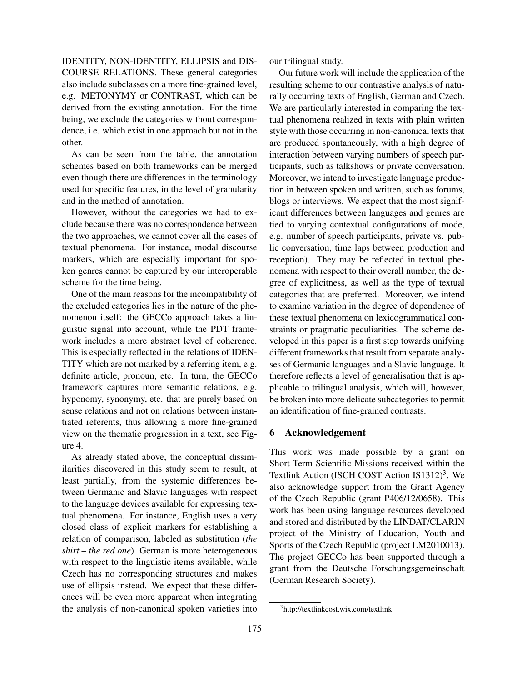IDENTITY, NON-IDENTITY, ELLIPSIS and DIS-COURSE RELATIONS. These general categories also include subclasses on a more fine-grained level, e.g. METONYMY or CONTRAST, which can be derived from the existing annotation. For the time being, we exclude the categories without correspondence, i.e. which exist in one approach but not in the other.

As can be seen from the table, the annotation schemes based on both frameworks can be merged even though there are differences in the terminology used for specific features, in the level of granularity and in the method of annotation.

However, without the categories we had to exclude because there was no correspondence between the two approaches, we cannot cover all the cases of textual phenomena. For instance, modal discourse markers, which are especially important for spoken genres cannot be captured by our interoperable scheme for the time being.

One of the main reasons for the incompatibility of the excluded categories lies in the nature of the phenomenon itself: the GECCo approach takes a linguistic signal into account, while the PDT framework includes a more abstract level of coherence. This is especially reflected in the relations of IDEN-TITY which are not marked by a referring item, e.g. definite article, pronoun, etc. In turn, the GECCo framework captures more semantic relations, e.g. hyponomy, synonymy, etc. that are purely based on sense relations and not on relations between instantiated referents, thus allowing a more fine-grained view on the thematic progression in a text, see Figure 4.

As already stated above, the conceptual dissimilarities discovered in this study seem to result, at least partially, from the systemic differences between Germanic and Slavic languages with respect to the language devices available for expressing textual phenomena. For instance, English uses a very closed class of explicit markers for establishing a relation of comparison, labeled as substitution (*the shirt – the red one*). German is more heterogeneous with respect to the linguistic items available, while Czech has no corresponding structures and makes use of ellipsis instead. We expect that these differences will be even more apparent when integrating the analysis of non-canonical spoken varieties into our trilingual study.

Our future work will include the application of the resulting scheme to our contrastive analysis of naturally occurring texts of English, German and Czech. We are particularly interested in comparing the textual phenomena realized in texts with plain written style with those occurring in non-canonical texts that are produced spontaneously, with a high degree of interaction between varying numbers of speech participants, such as talkshows or private conversation. Moreover, we intend to investigate language production in between spoken and written, such as forums, blogs or interviews. We expect that the most significant differences between languages and genres are tied to varying contextual configurations of mode, e.g. number of speech participants, private vs. public conversation, time laps between production and reception). They may be reflected in textual phenomena with respect to their overall number, the degree of explicitness, as well as the type of textual categories that are preferred. Moreover, we intend to examine variation in the degree of dependence of these textual phenomena on lexicogrammatical constraints or pragmatic peculiarities. The scheme developed in this paper is a first step towards unifying different frameworks that result from separate analyses of Germanic languages and a Slavic language. It therefore reflects a level of generalisation that is applicable to trilingual analysis, which will, however, be broken into more delicate subcategories to permit an identification of fine-grained contrasts.

### 6 Acknowledgement

This work was made possible by a grant on Short Term Scientific Missions received within the Textlink Action (ISCH COST Action IS1312)<sup>3</sup>. We also acknowledge support from the Grant Agency of the Czech Republic (grant P406/12/0658). This work has been using language resources developed and stored and distributed by the LINDAT/CLARIN project of the Ministry of Education, Youth and Sports of the Czech Republic (project LM2010013). The project GECCo has been supported through a grant from the Deutsche Forschungsgemeinschaft (German Research Society).

<sup>3</sup> http://textlinkcost.wix.com/textlink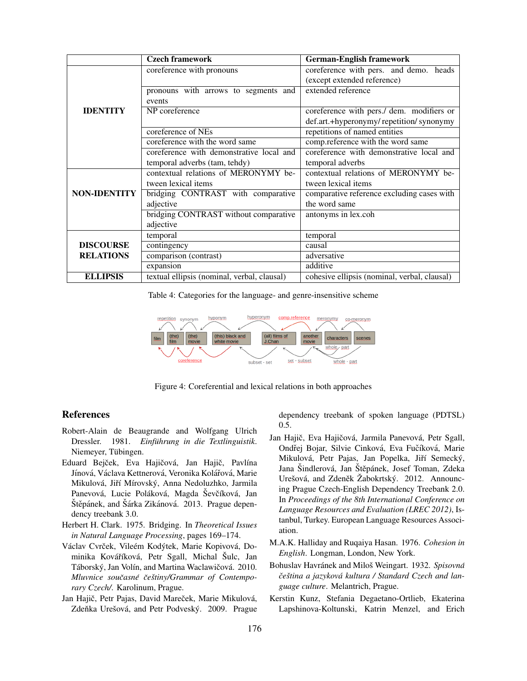|                     | <b>Czech framework</b>                      | <b>German-English framework</b>              |
|---------------------|---------------------------------------------|----------------------------------------------|
|                     | coreference with pronouns                   | coreference with pers. and demo. heads       |
|                     |                                             | (except extended reference)                  |
|                     | pronouns with arrows to segments and        | extended reference                           |
|                     | events                                      |                                              |
| <b>IDENTITY</b>     | NP coreference                              | coreference with pers./ dem. modifiers or    |
|                     |                                             | def.art.+hyperonymy/repetition/synonymy      |
|                     | coreference of NEs                          | repetitions of named entities                |
|                     | coreference with the word same              | comp.reference with the word same            |
|                     | coreference with demonstrative local and    | coreference with demonstrative local and     |
|                     | temporal adverbs (tam, tehdy)               | temporal adverbs                             |
|                     | contextual relations of MERONYMY be-        | contextual relations of MERONYMY be-         |
|                     | tween lexical items                         | tween lexical items                          |
| <b>NON-IDENTITY</b> | bridging CONTRAST with comparative          | comparative reference excluding cases with   |
|                     | adjective                                   | the word same                                |
|                     | bridging CONTRAST without comparative       | antonyms in lex.coh                          |
|                     | adjective                                   |                                              |
|                     | temporal                                    | temporal                                     |
| <b>DISCOURSE</b>    | contingency                                 | causal                                       |
| <b>RELATIONS</b>    | comparison (contrast)                       | adversative                                  |
|                     | expansion                                   | additive                                     |
| <b>ELLIPSIS</b>     | textual ellipsis (nominal, verbal, clausal) | cohesive ellipsis (nominal, verbal, clausal) |

Table 4: Categories for the language- and genre-insensitive scheme



Figure 4: Coreferential and lexical relations in both approaches

#### References

- Robert-Alain de Beaugrande and Wolfgang Ulrich Dressler. 1981. *Einführung in die Textlinguistik*. Niemeyer, Tübingen.
- Eduard Bejček, Eva Hajičová, Jan Hajič, Pavlína Jínová, Václava Kettnerová, Veronika Kolářová, Marie Mikulová, Jiří Mírovský, Anna Nedoluzhko, Jarmila Panevová, Lucie Poláková, Magda Ševčíková, Jan Štěpánek, and Šárka Zikánová. 2013. Prague dependency treebank 3.0.
- Herbert H. Clark. 1975. Bridging. In *Theoretical Issues in Natural Language Processing*, pages 169–174.
- Václav Cvrček, Vileém Kodýtek, Marie Kopivová, Dominika Kováříková, Petr Sgall, Michal Šulc, Jan Táborský, Jan Volín, and Martina Waclawičová. 2010. *Mluvnice soucasn ˇ e´ ceˇ stiny/Grammar of Contempo- ˇ rary Czech/*. Karolinum, Prague.
- Jan Hajič, Petr Pajas, David Mareček, Marie Mikulová, Zdeňka Urešová, and Petr Podveský. 2009. Prague

dependency treebank of spoken language (PDTSL) 0.5.

- Jan Hajič, Eva Hajičová, Jarmila Panevová, Petr Sgall, Ondřej Bojar, Silvie Cinková, Eva Fučíková, Marie Mikulová, Petr Pajas, Jan Popelka, Jiří Semecký, Jana Šindlerová, Jan Štěpánek, Josef Toman, Zdeka Urešová, and Zdeněk Žabokrtský. 2012. Announcing Prague Czech-English Dependency Treebank 2.0. In *Proceedings of the 8th International Conference on Language Resources and Evaluation (LREC 2012)*, Istanbul, Turkey. European Language Resources Association.
- M.A.K. Halliday and Ruqaiya Hasan. 1976. *Cohesion in English*. Longman, London, New York.
- Bohuslav Havránek and Miloš Weingart. 1932. Spisovná *ceˇ stina a jazykov ˇ a kultura / Standard Czech and lan- ´ guage culture*. Melantrich, Prague.
- Kerstin Kunz, Stefania Degaetano-Ortlieb, Ekaterina Lapshinova-Koltunski, Katrin Menzel, and Erich